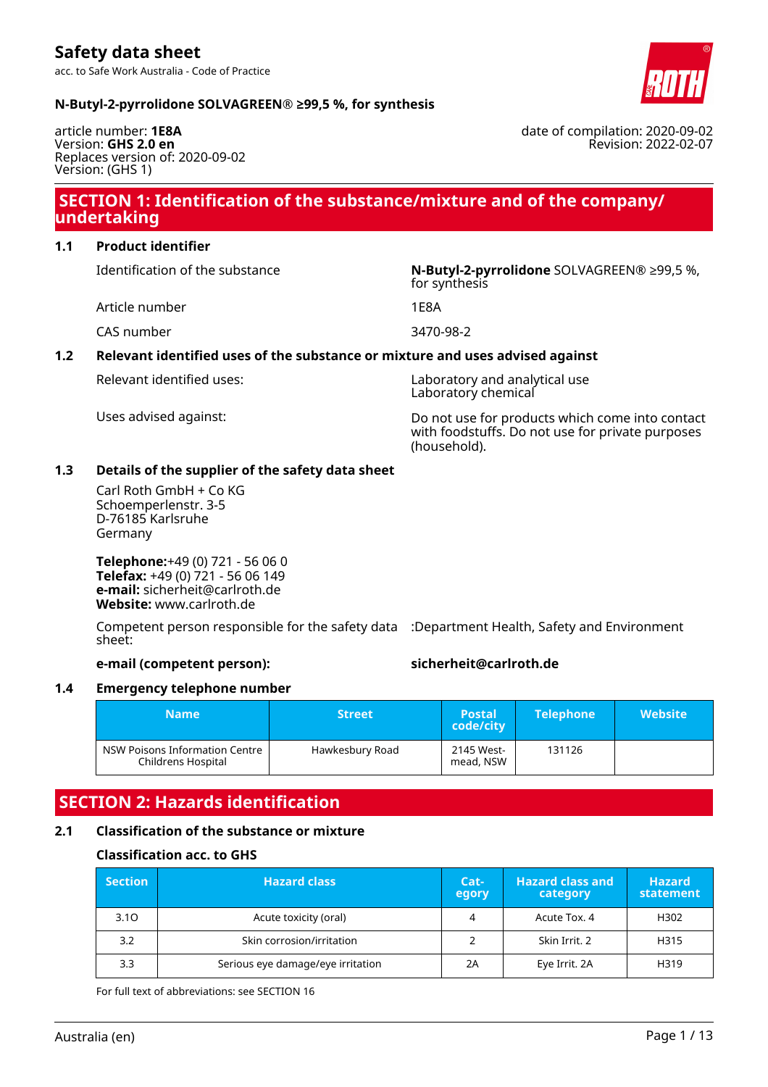### **N-Butyl-2-pyrrolidone SOLVAGREEN® ≥99,5 %, for synthesis**

article number: **1E8A** Version: **GHS 2.0 en** Replaces version of: 2020-09-02 Version: (GHS 1)

### **SECTION 1: Identification of the substance/mixture and of the company/ undertaking**

### **1.1 Product identifier**

Identification of the substance **N-Butyl-2-pyrrolidone** SOLVAGREEN® ≥99,5 %,

Article number 1E8A

CAS number 3470-98-2

### **1.2 Relevant identified uses of the substance or mixture and uses advised against**

Relevant identified uses: Laboratory and analytical use Laboratory chemical

for synthesis

Uses advised against: Do not use for products which come into contact with foodstuffs. Do not use for private purposes (household).

### **1.3 Details of the supplier of the safety data sheet**

Carl Roth GmbH + Co KG Schoemperlenstr. 3-5 D-76185 Karlsruhe Germany

**Telephone:**+49 (0) 721 - 56 06 0 **Telefax:** +49 (0) 721 - 56 06 149 **e-mail:** sicherheit@carlroth.de **Website:** www.carlroth.de

Competent person responsible for the safety data :Department Health, Safety and Environment sheet:

### **e-mail (competent person): sicherheit@carlroth.de**

### **1.4 Emergency telephone number**

| Name                                                 | <b>Street</b>   | <b>Postal</b><br>code/city | <b>Telephone</b> | <b>Website</b> |
|------------------------------------------------------|-----------------|----------------------------|------------------|----------------|
| NSW Poisons Information Centre<br>Childrens Hospital | Hawkesbury Road | 2145 West-<br>mead, NSW    | 131126           |                |

### **SECTION 2: Hazards identification**

### **2.1 Classification of the substance or mixture**

### **Classification acc. to GHS**

| <b>Section</b> | <b>Hazard class</b>               | Cat-<br>egory | <b>Hazard class and</b><br>category | <b>Hazard</b><br>statement |
|----------------|-----------------------------------|---------------|-------------------------------------|----------------------------|
| 3.10           | Acute toxicity (oral)             |               | Acute Tox. 4                        | H302                       |
| 3.2            | Skin corrosion/irritation         |               | Skin Irrit. 2                       | H315                       |
| 3.3            | Serious eye damage/eye irritation | 2A            | Eye Irrit. 2A                       | H319                       |

For full text of abbreviations: see SECTION 16

date of compilation: 2020-09-02 Revision: 2022-02-07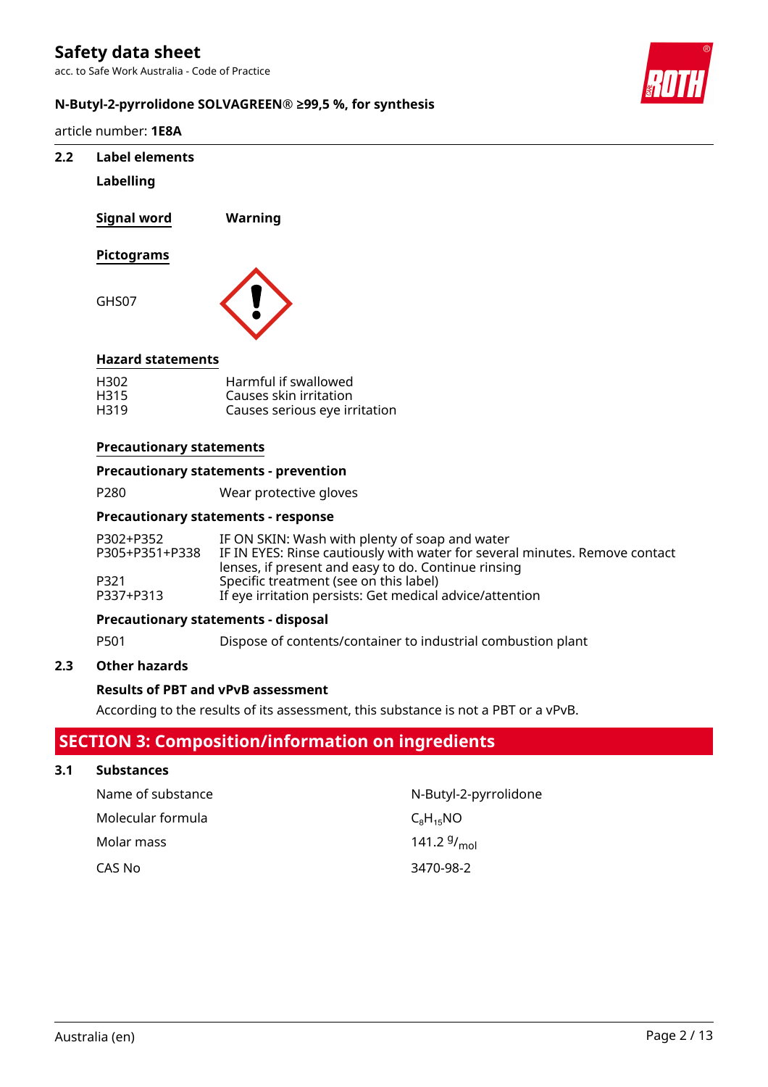acc. to Safe Work Australia - Code of Practice



### **N-Butyl-2-pyrrolidone SOLVAGREEN® ≥99,5 %, for synthesis**

article number: **1E8A**

# **2.2 Label elements Labelling Signal word Warning Pictograms** GHS07 **Hazard statements** H302 Harmful if swallowed H315 Causes skin irritation Causes serious eye irritation **Precautionary statements**

### **Precautionary statements - prevention**

P280 Wear protective gloves

#### **Precautionary statements - response**

| P302+P352      | IF ON SKIN: Wash with plenty of soap and water                              |
|----------------|-----------------------------------------------------------------------------|
| P305+P351+P338 | IF IN EYES: Rinse cautiously with water for several minutes. Remove contact |
|                | lenses, if present and easy to do. Continue rinsing                         |
| P321           | Specific treatment (see on this label)                                      |
| P337+P313      | If eye irritation persists: Get medical advice/attention                    |

### **Precautionary statements - disposal**

P501 Dispose of contents/container to industrial combustion plant

### **2.3 Other hazards**

### **Results of PBT and vPvB assessment**

According to the results of its assessment, this substance is not a PBT or a vPvB.

### **SECTION 3: Composition/information on ingredients**

### **3.1 Substances**

| Name of substance | N-Butyl-2-pyrrolidone |
|-------------------|-----------------------|
| Molecular formula | $C_8H_{15}NO$         |
| Molar mass        | 141.2 $9/_{mol}$      |
| CAS No            | 3470-98-2             |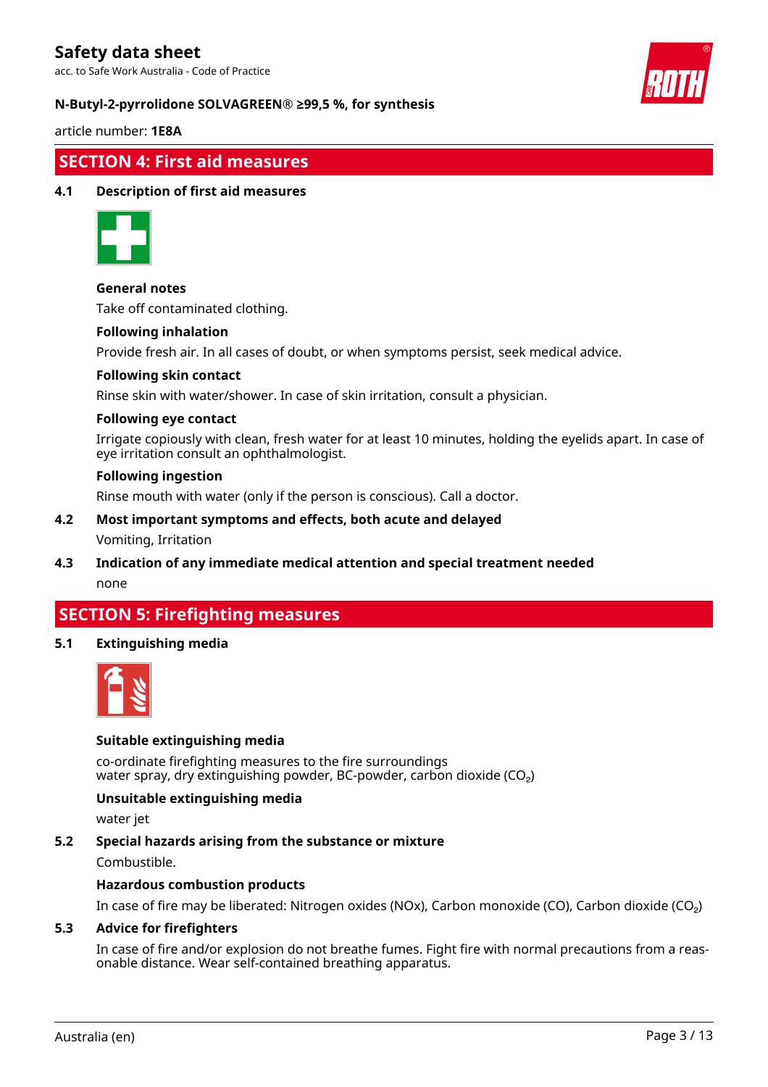acc. to Safe Work Australia - Code of Practice



### **N-Butyl-2-pyrrolidone SOLVAGREEN® ≥99,5 %, for synthesis**

article number: **1E8A**

### **SECTION 4: First aid measures**

### **4.1 Description of first aid measures**



### **General notes**

Take off contaminated clothing.

#### **Following inhalation**

Provide fresh air. In all cases of doubt, or when symptoms persist, seek medical advice.

#### **Following skin contact**

Rinse skin with water/shower. In case of skin irritation, consult a physician.

#### **Following eye contact**

Irrigate copiously with clean, fresh water for at least 10 minutes, holding the eyelids apart. In case of eye irritation consult an ophthalmologist.

#### **Following ingestion**

Rinse mouth with water (only if the person is conscious). Call a doctor.

### **4.2 Most important symptoms and effects, both acute and delayed** Vomiting, Irritation

**4.3 Indication of any immediate medical attention and special treatment needed** none

### **SECTION 5: Firefighting measures**

### **5.1 Extinguishing media**



### **Suitable extinguishing media**

co-ordinate firefighting measures to the fire surroundings water spray, dry extinguishing powder, BC-powder, carbon dioxide (CO<sub>2</sub>)

### **Unsuitable extinguishing media**

water jet

### **5.2 Special hazards arising from the substance or mixture**

Combustible.

### **Hazardous combustion products**

In case of fire may be liberated: Nitrogen oxides (NOx), Carbon monoxide (CO), Carbon dioxide (CO₂)

### **5.3 Advice for firefighters**

In case of fire and/or explosion do not breathe fumes. Fight fire with normal precautions from a reasonable distance. Wear self-contained breathing apparatus.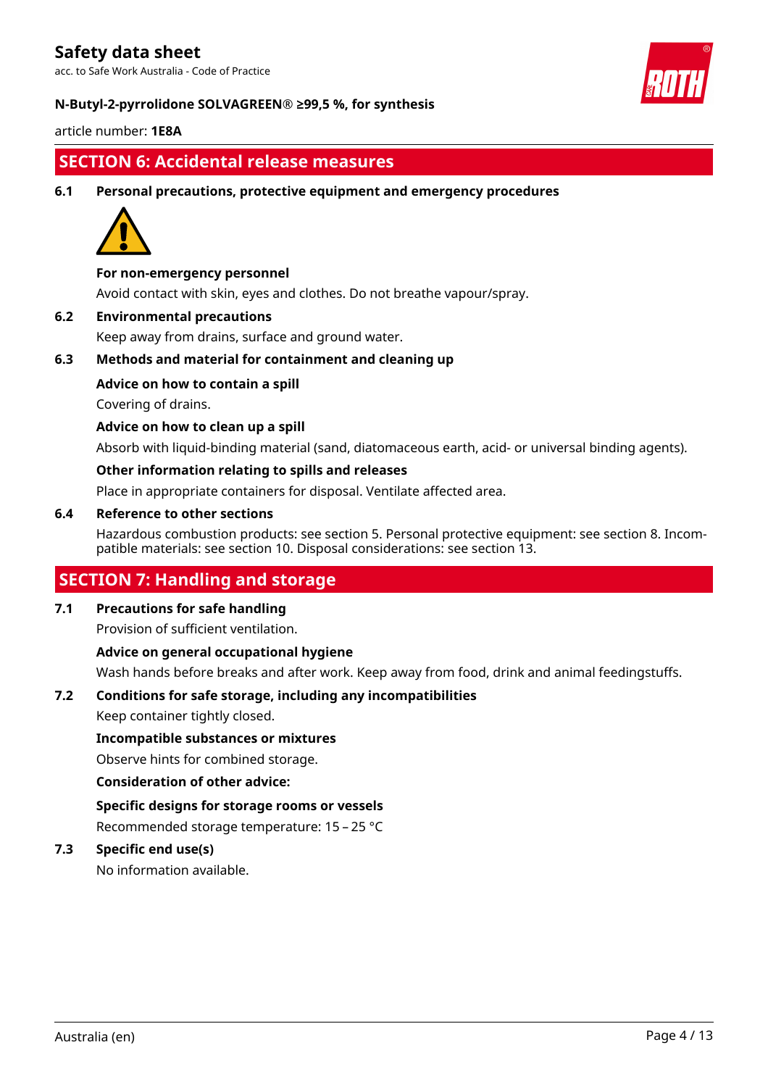acc. to Safe Work Australia - Code of Practice



### **N-Butyl-2-pyrrolidone SOLVAGREEN® ≥99,5 %, for synthesis**

article number: **1E8A**

### **SECTION 6: Accidental release measures**

**6.1 Personal precautions, protective equipment and emergency procedures**



### **For non-emergency personnel**

Avoid contact with skin, eyes and clothes. Do not breathe vapour/spray.

### **6.2 Environmental precautions**

Keep away from drains, surface and ground water.

### **6.3 Methods and material for containment and cleaning up**

### **Advice on how to contain a spill**

Covering of drains.

### **Advice on how to clean up a spill**

Absorb with liquid-binding material (sand, diatomaceous earth, acid- or universal binding agents).

### **Other information relating to spills and releases**

Place in appropriate containers for disposal. Ventilate affected area.

### **6.4 Reference to other sections**

Hazardous combustion products: see section 5. Personal protective equipment: see section 8. Incompatible materials: see section 10. Disposal considerations: see section 13.

### **SECTION 7: Handling and storage**

### **7.1 Precautions for safe handling**

Provision of sufficient ventilation.

### **Advice on general occupational hygiene**

Wash hands before breaks and after work. Keep away from food, drink and animal feedingstuffs.

### **7.2 Conditions for safe storage, including any incompatibilities**

Keep container tightly closed.

### **Incompatible substances or mixtures**

Observe hints for combined storage.

### **Consideration of other advice:**

**Specific designs for storage rooms or vessels**

Recommended storage temperature: 15 – 25 °C

### **7.3 Specific end use(s)**

No information available.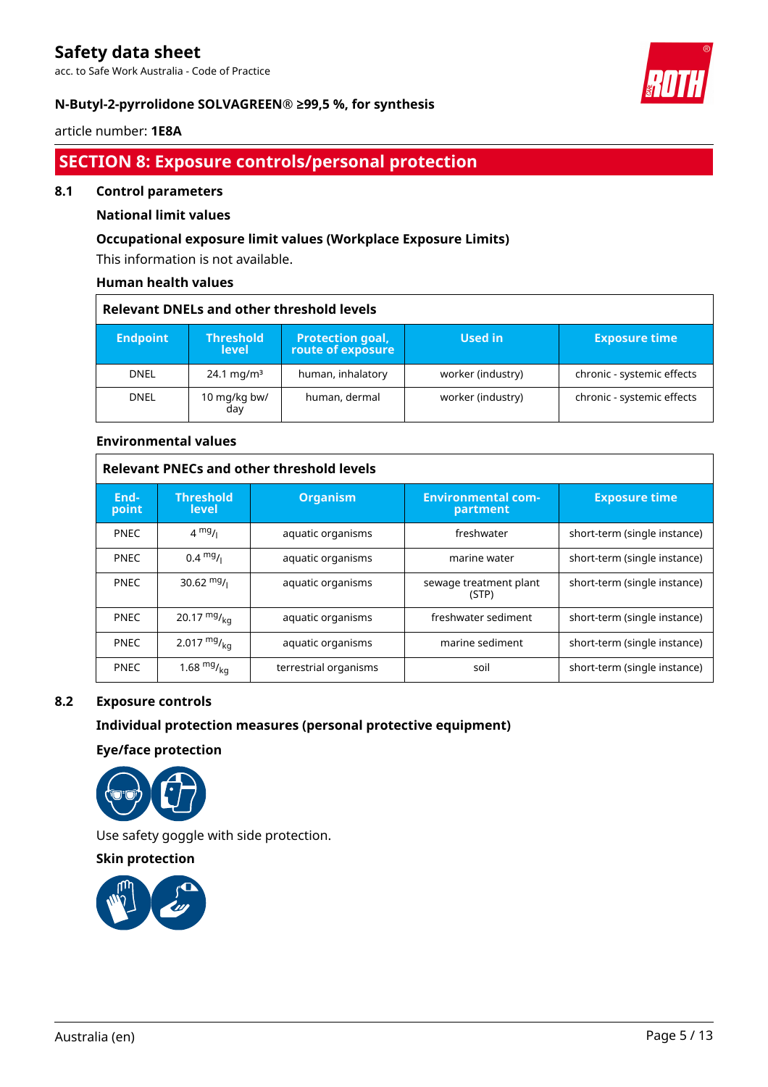acc. to Safe Work Australia - Code of Practice



٦

### **N-Butyl-2-pyrrolidone SOLVAGREEN® ≥99,5 %, for synthesis**

### article number: **1E8A**

 $\overline{\Gamma}$ 

### **SECTION 8: Exposure controls/personal protection**

#### **8.1 Control parameters**

### **National limit values**

### **Occupational exposure limit values (Workplace Exposure Limits)**

This information is not available.

### **Human health values**

| <b>Relevant DNELs and other threshold levels</b> |                                  |                                              |                   |                            |
|--------------------------------------------------|----------------------------------|----------------------------------------------|-------------------|----------------------------|
| <b>Endpoint</b>                                  | <b>Threshold</b><br><b>level</b> | <b>Protection goal,</b><br>route of exposure | Used in           | <b>Exposure time</b>       |
| <b>DNEL</b>                                      | 24.1 mg/m <sup>3</sup>           | human, inhalatory                            | worker (industry) | chronic - systemic effects |
| <b>DNEL</b>                                      | 10 mg/kg bw/<br>day              | human, dermal                                | worker (industry) | chronic - systemic effects |

#### **Environmental values**

| <b>Relevant PNECs and other threshold levels</b> |                                  |                       |                                       |                              |
|--------------------------------------------------|----------------------------------|-----------------------|---------------------------------------|------------------------------|
| End-<br>point                                    | <b>Threshold</b><br><b>level</b> | <b>Organism</b>       | <b>Environmental com-</b><br>partment | <b>Exposure time</b>         |
| <b>PNEC</b>                                      | $4 \frac{mg}{l}$                 | aquatic organisms     | freshwater                            | short-term (single instance) |
| <b>PNEC</b>                                      | $0.4 \frac{mg}{L}$               | aquatic organisms     | marine water                          | short-term (single instance) |
| <b>PNEC</b>                                      | 30.62 $mg/1$                     | aquatic organisms     | sewage treatment plant<br>(STP)       | short-term (single instance) |
| <b>PNEC</b>                                      | 20.17 $mg/_{ka}$                 | aquatic organisms     | freshwater sediment                   | short-term (single instance) |
| <b>PNEC</b>                                      | 2.017 $mg/_{ka}$                 | aquatic organisms     | marine sediment                       | short-term (single instance) |
| <b>PNEC</b>                                      | 1.68 $mg/kq$                     | terrestrial organisms | soil                                  | short-term (single instance) |

### **8.2 Exposure controls**

### **Individual protection measures (personal protective equipment)**

**Eye/face protection**



Use safety goggle with side protection.

**Skin protection**

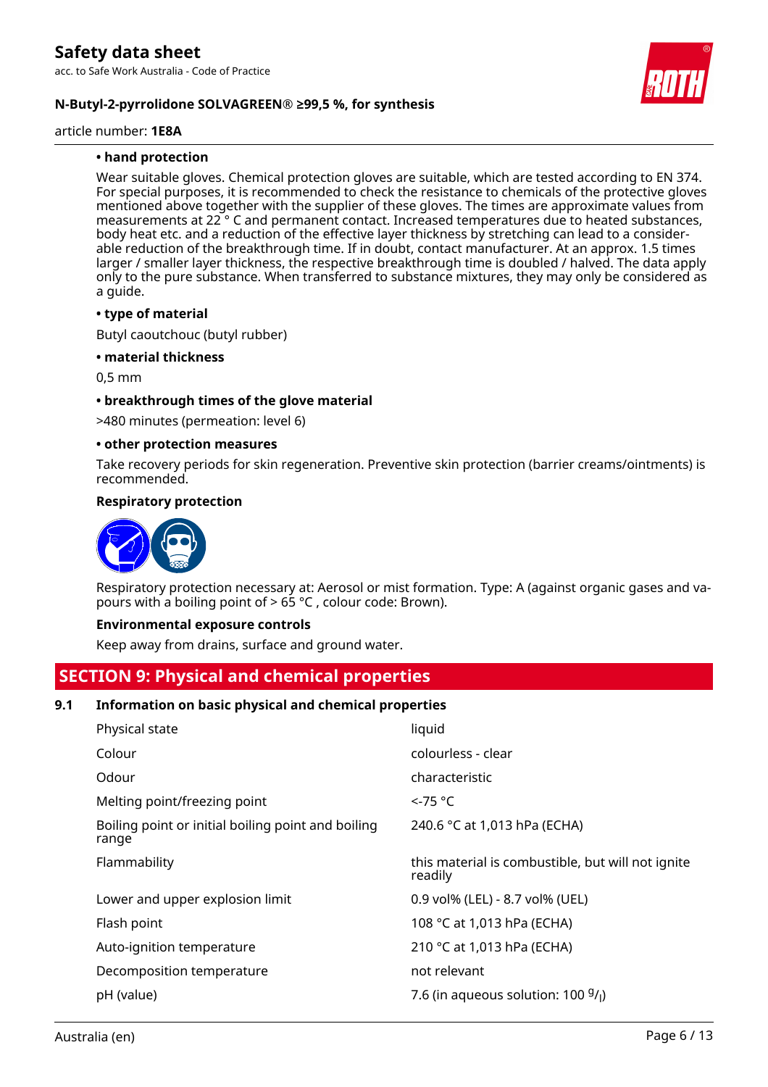**N-Butyl-2-pyrrolidone SOLVAGREEN® ≥99,5 %, for synthesis**

article number: **1E8A**

### **• hand protection**

Wear suitable gloves. Chemical protection gloves are suitable, which are tested according to EN 374. For special purposes, it is recommended to check the resistance to chemicals of the protective gloves mentioned above together with the supplier of these gloves. The times are approximate values from measurements at 22 ° C and permanent contact. Increased temperatures due to heated substances, body heat etc. and a reduction of the effective layer thickness by stretching can lead to a considerable reduction of the breakthrough time. If in doubt, contact manufacturer. At an approx. 1.5 times larger / smaller layer thickness, the respective breakthrough time is doubled / halved. The data apply only to the pure substance. When transferred to substance mixtures, they may only be considered as a guide.

#### **• type of material**

Butyl caoutchouc (butyl rubber)

#### **• material thickness**

0,5 mm

#### **• breakthrough times of the glove material**

>480 minutes (permeation: level 6)

#### **• other protection measures**

Take recovery periods for skin regeneration. Preventive skin protection (barrier creams/ointments) is recommended.

#### **Respiratory protection**



Respiratory protection necessary at: Aerosol or mist formation. Type: A (against organic gases and vapours with a boiling point of  $> 65$  °C, colour code: Brown).

#### **Environmental exposure controls**

Keep away from drains, surface and ground water.

### **SECTION 9: Physical and chemical properties**

### **9.1 Information on basic physical and chemical properties**

| Physical state                                              | liquid                                                       |
|-------------------------------------------------------------|--------------------------------------------------------------|
| Colour                                                      | colourless - clear                                           |
| Odour                                                       | characteristic                                               |
| Melting point/freezing point                                | $\leq$ 75 °C                                                 |
| Boiling point or initial boiling point and boiling<br>range | 240.6 °C at 1,013 hPa (ECHA)                                 |
| Flammability                                                | this material is combustible, but will not ignite<br>readily |
| Lower and upper explosion limit                             | 0.9 vol% (LEL) - 8.7 vol% (UEL)                              |
| Flash point                                                 | 108 °C at 1,013 hPa (ECHA)                                   |
| Auto-ignition temperature                                   | 210 °C at 1,013 hPa (ECHA)                                   |
| Decomposition temperature                                   | not relevant                                                 |
| pH (value)                                                  | 7.6 (in aqueous solution: $100\frac{9}{l}$ )                 |
|                                                             |                                                              |

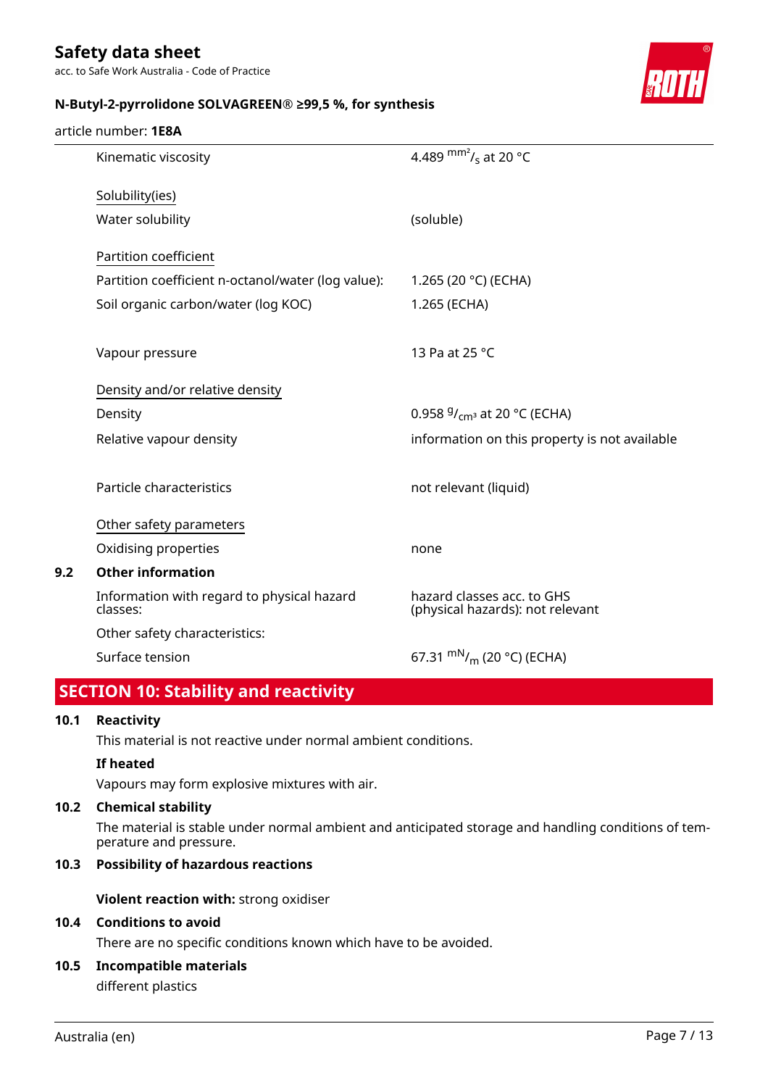acc. to Safe Work Australia - Code of Practice



### **N-Butyl-2-pyrrolidone SOLVAGREEN® ≥99,5 %, for synthesis**

### article number: **1E8A**

| Kinematic viscosity                                    | 4.489 $\rm{mm}^2$ / <sub>s</sub> at 20 °C                      |
|--------------------------------------------------------|----------------------------------------------------------------|
| Solubility(ies)                                        |                                                                |
| Water solubility                                       | (soluble)                                                      |
| Partition coefficient                                  |                                                                |
| Partition coefficient n-octanol/water (log value):     | 1.265 (20 °C) (ECHA)                                           |
| Soil organic carbon/water (log KOC)                    | 1.265 (ECHA)                                                   |
|                                                        |                                                                |
| Vapour pressure                                        | 13 Pa at 25 °C                                                 |
| Density and/or relative density                        |                                                                |
| Density                                                | 0.958 $9/$ <sub>cm</sub> at 20 °C (ECHA)                       |
| Relative vapour density                                | information on this property is not available                  |
|                                                        |                                                                |
| Particle characteristics                               | not relevant (liquid)                                          |
| Other safety parameters                                |                                                                |
| Oxidising properties                                   | none                                                           |
| <b>Other information</b>                               |                                                                |
| Information with regard to physical hazard<br>classes: | hazard classes acc. to GHS<br>(physical hazards): not relevant |
| Other safety characteristics:                          |                                                                |
| Surface tension                                        | 67.31 $\rm{mN}_{/m}$ (20 °C) (ECHA)                            |
|                                                        |                                                                |

### **SECTION 10: Stability and reactivity**

### **10.1 Reactivity**

**9.2** 

This material is not reactive under normal ambient conditions.

### **If heated**

Vapours may form explosive mixtures with air.

### **10.2 Chemical stability**

The material is stable under normal ambient and anticipated storage and handling conditions of temperature and pressure.

### **10.3 Possibility of hazardous reactions**

**Violent reaction with:** strong oxidiser

#### **10.4 Conditions to avoid**

There are no specific conditions known which have to be avoided.

**10.5 Incompatible materials**

different plastics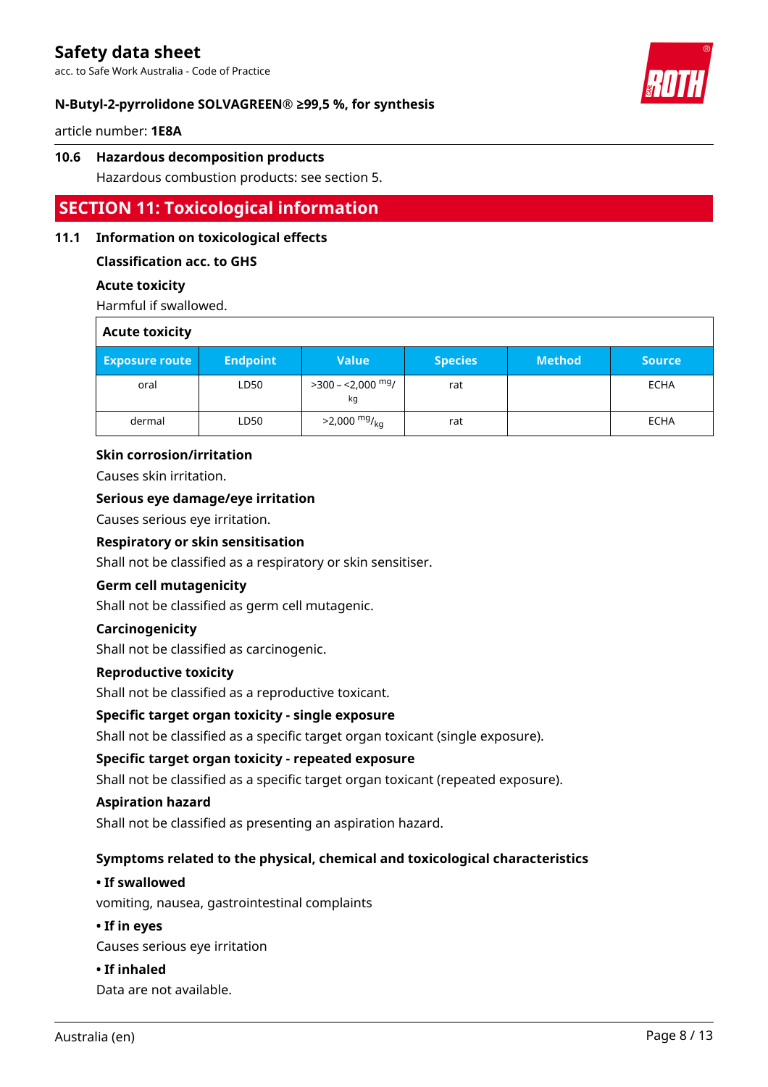acc. to Safe Work Australia - Code of Practice



### **N-Butyl-2-pyrrolidone SOLVAGREEN® ≥99,5 %, for synthesis**

article number: **1E8A**

### **10.6 Hazardous decomposition products**

Hazardous combustion products: see section 5.

### **SECTION 11: Toxicological information**

### **11.1 Information on toxicological effects**

### **Classification acc. to GHS**

### **Acute toxicity**

Harmful if swallowed.

| <b>Acute toxicity</b> |                 |                            |                |               |               |
|-----------------------|-----------------|----------------------------|----------------|---------------|---------------|
| <b>Exposure route</b> | <b>Endpoint</b> | <b>Value</b>               | <b>Species</b> | <b>Method</b> | <b>Source</b> |
| oral                  | LD50            | $>$ 300 – <2,000 mg/<br>kg | rat            |               | <b>ECHA</b>   |
| dermal                | LD50            | $>2,000$ mg/ <sub>kg</sub> | rat            |               | <b>ECHA</b>   |

### **Skin corrosion/irritation**

Causes skin irritation.

### **Serious eye damage/eye irritation**

Causes serious eye irritation.

#### **Respiratory or skin sensitisation**

Shall not be classified as a respiratory or skin sensitiser.

### **Germ cell mutagenicity**

Shall not be classified as germ cell mutagenic.

### **Carcinogenicity**

Shall not be classified as carcinogenic.

### **Reproductive toxicity**

Shall not be classified as a reproductive toxicant.

### **Specific target organ toxicity - single exposure**

Shall not be classified as a specific target organ toxicant (single exposure).

### **Specific target organ toxicity - repeated exposure**

Shall not be classified as a specific target organ toxicant (repeated exposure).

### **Aspiration hazard**

Shall not be classified as presenting an aspiration hazard.

### **Symptoms related to the physical, chemical and toxicological characteristics**

### **• If swallowed**

vomiting, nausea, gastrointestinal complaints

### **• If in eyes**

Causes serious eye irritation

### **• If inhaled**

Data are not available.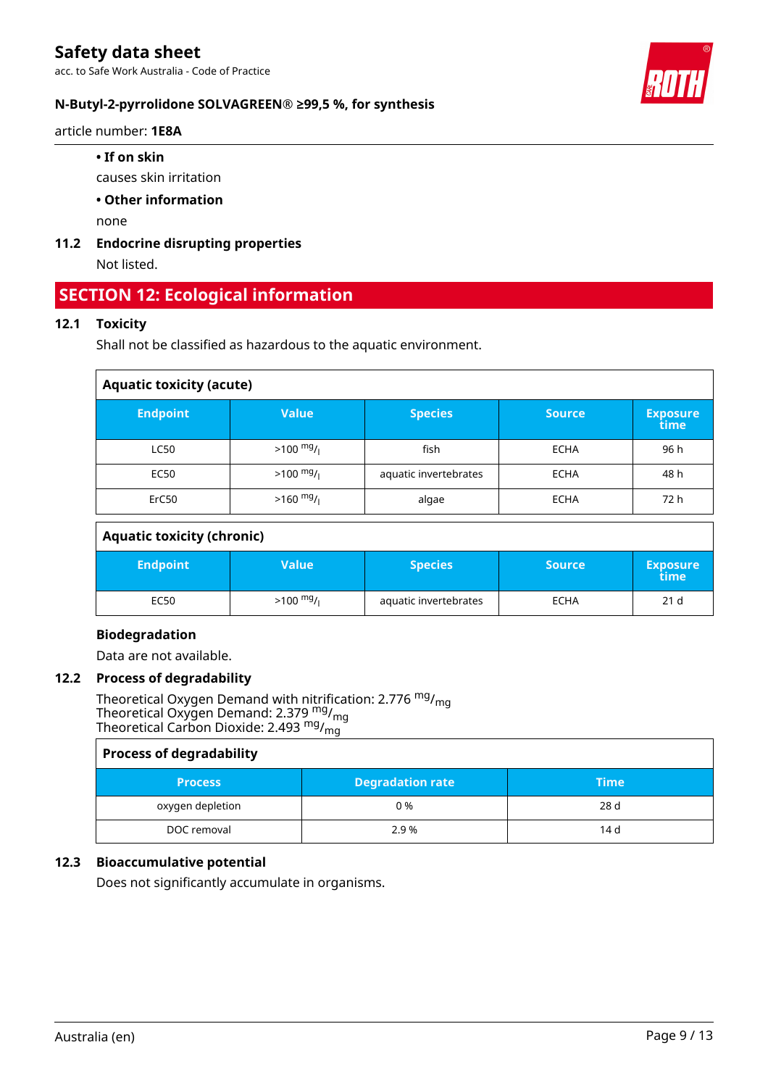acc. to Safe Work Australia - Code of Practice



article number: **1E8A**

causes skin irritation

**• Other information**

none

**11.2 Endocrine disrupting properties**

Not listed.

### **SECTION 12: Ecological information**

### **12.1 Toxicity**

Shall not be classified as hazardous to the aquatic environment.

| <b>Aquatic toxicity (acute)</b> |                     |                       |               |                         |  |
|---------------------------------|---------------------|-----------------------|---------------|-------------------------|--|
| <b>Endpoint</b>                 | <b>Value</b>        | <b>Species</b>        | <b>Source</b> | <b>Exposure</b><br>time |  |
| <b>LC50</b>                     | $>100 \frac{mg}{l}$ | fish                  | <b>ECHA</b>   | 96 h                    |  |
| <b>EC50</b>                     | $>100 \frac{mg}{l}$ | aquatic invertebrates | <b>ECHA</b>   | 48 h                    |  |
| ErC50                           | $>160$ mg/          | algae                 | <b>ECHA</b>   | 72 h                    |  |

### **Aquatic toxicity (chronic)**

| <b>Endpoint</b> | Value'              | <b>Species</b>        | <b>Source</b> | <b>Exposure</b><br>time |
|-----------------|---------------------|-----------------------|---------------|-------------------------|
| EC50            | $>100 \frac{mg}{l}$ | aquatic invertebrates | <b>ECHA</b>   | 21 <sub>d</sub>         |

### **Biodegradation**

Data are not available.

### **12.2 Process of degradability**

Theoretical Oxygen Demand with nitrification: 2.776 <sup>mg</sup>/<sub>mg</sub> Theoretical Oxygen Demand: 2.379  $\frac{mg}{mg}$ Theoretical Carbon Dioxide: 2.493  $^{\mathsf{mg}}\prime_{\mathsf{mg}}$ 

| <b>Process of degradability</b> |                         |             |  |  |
|---------------------------------|-------------------------|-------------|--|--|
| <b>Process</b>                  | <b>Degradation rate</b> | <b>Time</b> |  |  |
| oxygen depletion                | 0 %                     | 28 d        |  |  |
| DOC removal                     | 2.9 %                   | 14 d        |  |  |

### **12.3 Bioaccumulative potential**

Does not significantly accumulate in organisms.



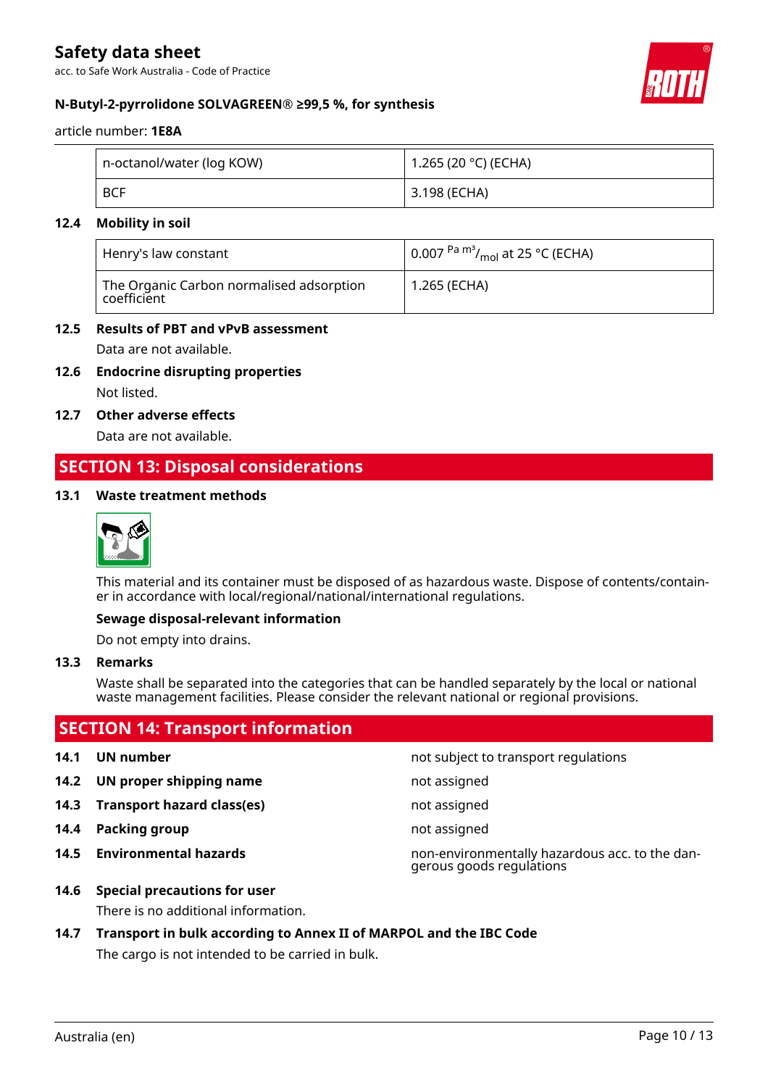acc. to Safe Work Australia - Code of Practice



### **N-Butyl-2-pyrrolidone SOLVAGREEN® ≥99,5 %, for synthesis**

article number: **1E8A**

| n-octanol/water (log KOW) | 1.265 (20 °C) (ECHA) |
|---------------------------|----------------------|
| <b>BCF</b>                | 3.198 (ECHA)         |

### **12.4 Mobility in soil**

| Henry's law constant                                                      | $\vert$ 0.007 <sup>Pa m<sup>3</sup>/<sub>mol</sub> at 25 °C (ECHA)</sup> |
|---------------------------------------------------------------------------|--------------------------------------------------------------------------|
| The Organic Carbon normalised adsorption<br>$^\shortparallel$ coefficient | 1.265 (ECHA)                                                             |

### **12.5 Results of PBT and vPvB assessment**

Data are not available.

**12.6 Endocrine disrupting properties**

Not listed.

**12.7 Other adverse effects**

Data are not available.

### **SECTION 13: Disposal considerations**

### **13.1 Waste treatment methods**



This material and its container must be disposed of as hazardous waste. Dispose of contents/container in accordance with local/regional/national/international regulations.

### **Sewage disposal-relevant information**

Do not empty into drains.

### **13.3 Remarks**

Waste shall be separated into the categories that can be handled separately by the local or national waste management facilities. Please consider the relevant national or regional provisions.

### **SECTION 14: Transport information**

- 
- **14.2 UN proper shipping name** not assigned
- **14.3 Transport hazard class(es)** not assigned
- **14.4 Packing group not assigned**
- 

**14.1 UN number 14.1 UN** number

- 
- 
- 

**14.5 Environmental hazards** non-environmentally hazardous acc. to the dangerous goods regulations

- **14.6 Special precautions for user** There is no additional information.
- **14.7 Transport in bulk according to Annex II of MARPOL and the IBC Code** The cargo is not intended to be carried in bulk.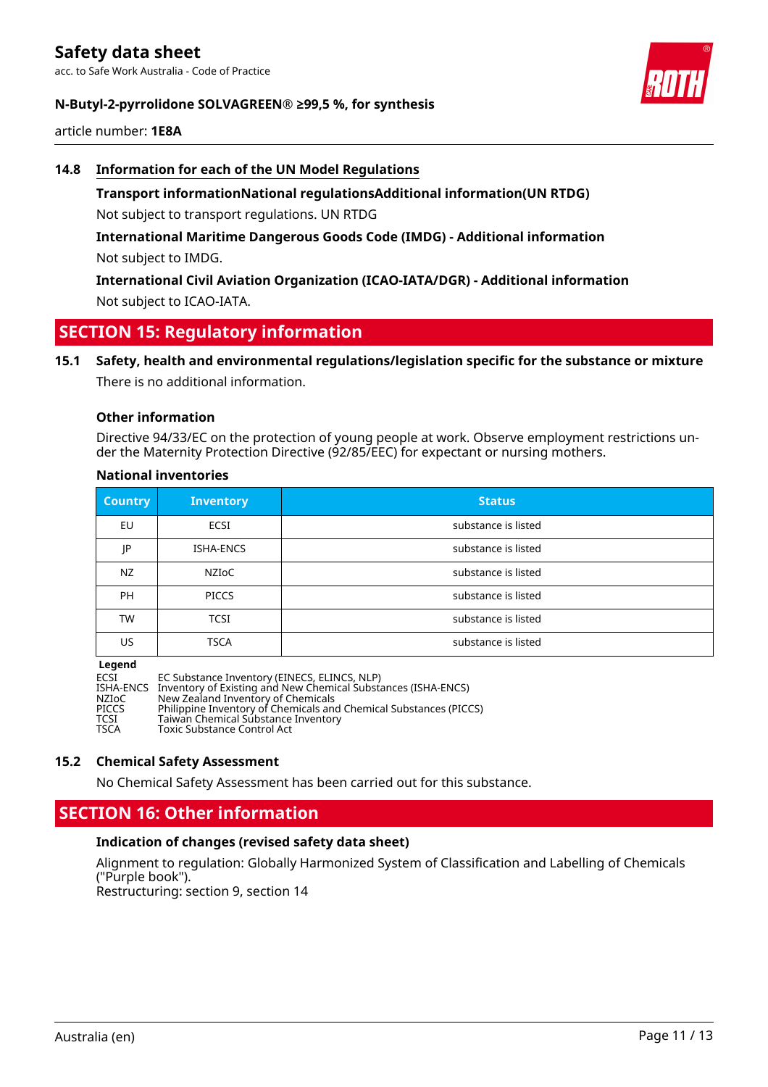acc. to Safe Work Australia - Code of Practice



### **N-Butyl-2-pyrrolidone SOLVAGREEN® ≥99,5 %, for synthesis**

article number: **1E8A**

### **14.8 Information for each of the UN Model Regulations**

**Transport informationNational regulationsAdditional information(UN RTDG)** Not subject to transport regulations. UN RTDG

**International Maritime Dangerous Goods Code (IMDG) - Additional information** Not subject to IMDG.

**International Civil Aviation Organization (ICAO-IATA/DGR) - Additional information** Not subject to ICAO-IATA.

### **SECTION 15: Regulatory information**

**15.1 Safety, health and environmental regulations/legislation specific for the substance or mixture** There is no additional information.

### **Other information**

Directive 94/33/EC on the protection of young people at work. Observe employment restrictions under the Maternity Protection Directive (92/85/EEC) for expectant or nursing mothers.

### **National inventories**

| <b>Country</b> | <b>Inventory</b> | <b>Status</b>       |
|----------------|------------------|---------------------|
| EU             | ECSI             | substance is listed |
| JP             | ISHA-ENCS        | substance is listed |
| NZ             | NZIOC            | substance is listed |
| PH             | <b>PICCS</b>     | substance is listed |
| <b>TW</b>      | <b>TCSI</b>      | substance is listed |
| US             | <b>TSCA</b>      | substance is listed |

#### **Legend**

ECSI EC Substance Inventory (EINECS, ELINCS, NLP)<br>ISHA-ENCS Inventory of Existing and New Chemical Substa ISHA-ENCS Inventory of Existing and New Chemical Substances (ISHA-ENCS)<br>NZIoC Mew Zealand Inventory of Chemicals Substances (ISHA-ENCS) NZIoC New Zealand Inventory of Chemicals PICCS Philippine Inventory of Chemicals and Chemical Substances (PICCS) TCSI Taiwan Chemical Substance Inventory TSCA Toxic Substance Control Act

### **15.2 Chemical Safety Assessment**

No Chemical Safety Assessment has been carried out for this substance.

### **SECTION 16: Other information**

### **Indication of changes (revised safety data sheet)**

Alignment to regulation: Globally Harmonized System of Classification and Labelling of Chemicals ("Purple book").

Restructuring: section 9, section 14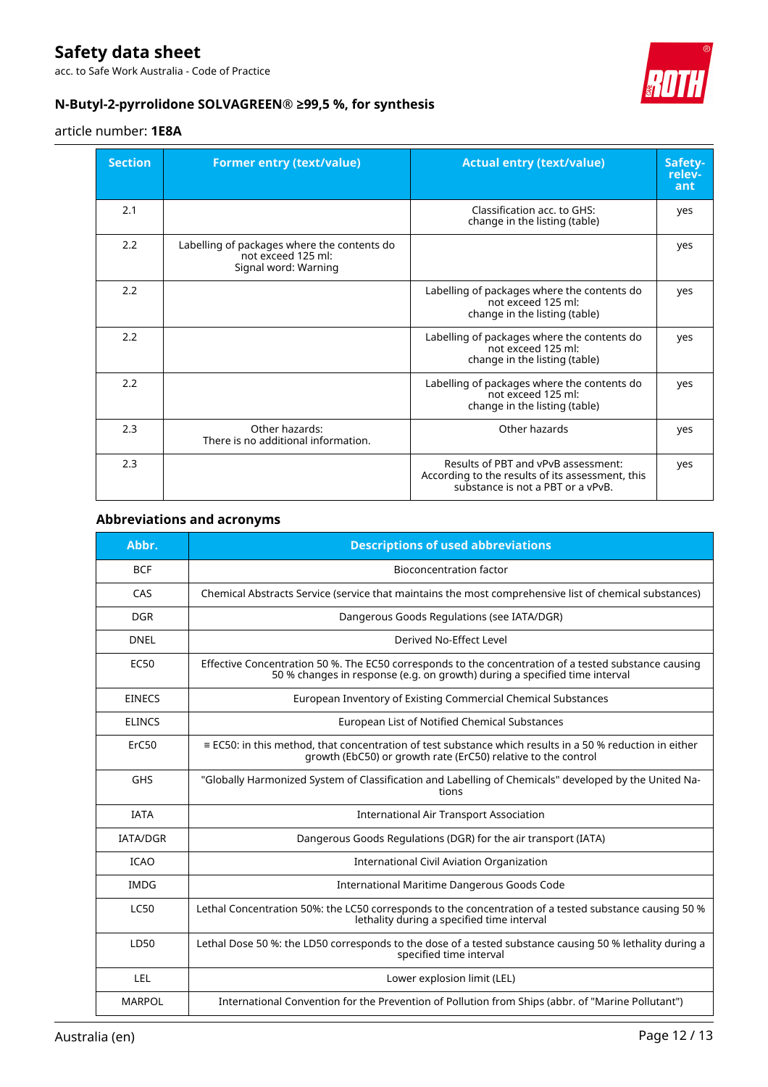acc. to Safe Work Australia - Code of Practice



### **N-Butyl-2-pyrrolidone SOLVAGREEN® ≥99,5 %, for synthesis**

### article number: **1E8A**

| <b>Section</b> | <b>Former entry (text/value)</b>                                                          | <b>Actual entry (text/value)</b>                                                                                             | Safety-<br>relev-<br>ant |
|----------------|-------------------------------------------------------------------------------------------|------------------------------------------------------------------------------------------------------------------------------|--------------------------|
| 2.1            |                                                                                           | Classification acc. to GHS:<br>change in the listing (table)                                                                 | yes                      |
| 2.2            | Labelling of packages where the contents do<br>not exceed 125 ml:<br>Signal word: Warning |                                                                                                                              | yes                      |
| 2.2            |                                                                                           | Labelling of packages where the contents do<br>not exceed 125 ml:<br>change in the listing (table)                           | yes                      |
| 2.2            |                                                                                           | Labelling of packages where the contents do<br>not exceed 125 ml:<br>change in the listing (table)                           | yes                      |
| 2.2            |                                                                                           | Labelling of packages where the contents do<br>not exceed 125 ml:<br>change in the listing (table)                           | yes                      |
| 2.3            | Other hazards:<br>There is no additional information.                                     | Other hazards                                                                                                                | yes                      |
| 2.3            |                                                                                           | Results of PBT and vPvB assessment:<br>According to the results of its assessment, this<br>substance is not a PBT or a vPvB. | yes                      |

### **Abbreviations and acronyms**

| Abbr.           | <b>Descriptions of used abbreviations</b>                                                                                                                                           |
|-----------------|-------------------------------------------------------------------------------------------------------------------------------------------------------------------------------------|
| <b>BCF</b>      | <b>Bioconcentration factor</b>                                                                                                                                                      |
| CAS             | Chemical Abstracts Service (service that maintains the most comprehensive list of chemical substances)                                                                              |
| <b>DGR</b>      | Dangerous Goods Regulations (see IATA/DGR)                                                                                                                                          |
| <b>DNEL</b>     | Derived No-Effect Level                                                                                                                                                             |
| <b>EC50</b>     | Effective Concentration 50 %. The EC50 corresponds to the concentration of a tested substance causing<br>50 % changes in response (e.g. on growth) during a specified time interval |
| <b>EINECS</b>   | European Inventory of Existing Commercial Chemical Substances                                                                                                                       |
| <b>ELINCS</b>   | European List of Notified Chemical Substances                                                                                                                                       |
| ErC50           | $\equiv$ EC50: in this method, that concentration of test substance which results in a 50 % reduction in either<br>growth (EbC50) or growth rate (ErC50) relative to the control    |
| <b>GHS</b>      | "Globally Harmonized System of Classification and Labelling of Chemicals" developed by the United Na-<br>tions                                                                      |
| <b>IATA</b>     | <b>International Air Transport Association</b>                                                                                                                                      |
| <b>IATA/DGR</b> | Dangerous Goods Regulations (DGR) for the air transport (IATA)                                                                                                                      |
| <b>ICAO</b>     | International Civil Aviation Organization                                                                                                                                           |
| <b>IMDG</b>     | International Maritime Dangerous Goods Code                                                                                                                                         |
| <b>LC50</b>     | Lethal Concentration 50%: the LC50 corresponds to the concentration of a tested substance causing 50 %<br>lethality during a specified time interval                                |
| LD50            | Lethal Dose 50 %: the LD50 corresponds to the dose of a tested substance causing 50 % lethality during a<br>specified time interval                                                 |
| <b>LEL</b>      | Lower explosion limit (LEL)                                                                                                                                                         |
| <b>MARPOL</b>   | International Convention for the Prevention of Pollution from Ships (abbr. of "Marine Pollutant")                                                                                   |